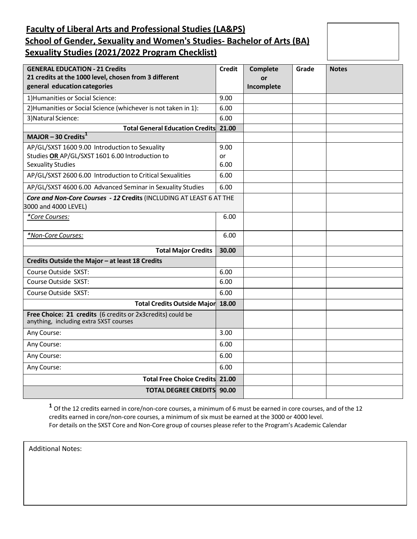# **Faculty of Liberal Arts and Professional Studies (LA&PS) School of Gender, Sexuality and Women's Studies- Bachelor of Arts (BA) Sexuality Studies (2021/2022 Program Checklist)**

| <b>GENERAL EDUCATION - 21 Credits</b><br>21 credits at the 1000 level, chosen from 3 different<br>general education categories | <b>Credit</b> | <b>Complete</b><br>or<br>Incomplete | Grade | <b>Notes</b> |
|--------------------------------------------------------------------------------------------------------------------------------|---------------|-------------------------------------|-------|--------------|
| 1) Humanities or Social Science:                                                                                               | 9.00          |                                     |       |              |
| 2) Humanities or Social Science (whichever is not taken in 1):                                                                 | 6.00          |                                     |       |              |
| 3) Natural Science:                                                                                                            | 6.00          |                                     |       |              |
| <b>Total General Education Credits</b>                                                                                         | 21.00         |                                     |       |              |
| MAJOR - 30 Credits $1$                                                                                                         |               |                                     |       |              |
| AP/GL/SXST 1600 9.00 Introduction to Sexuality                                                                                 | 9.00          |                                     |       |              |
| Studies OR AP/GL/SXST 1601 6.00 Introduction to                                                                                | or            |                                     |       |              |
| <b>Sexuality Studies</b>                                                                                                       | 6.00          |                                     |       |              |
| AP/GL/SXST 2600 6.00 Introduction to Critical Sexualities                                                                      | 6.00          |                                     |       |              |
| AP/GL/SXST 4600 6.00 Advanced Seminar in Sexuality Studies                                                                     | 6.00          |                                     |       |              |
| Core and Non-Core Courses - 12 Credits (INCLUDING AT LEAST 6 AT THE<br>3000 and 4000 LEVEL)                                    |               |                                     |       |              |
| *Core Courses:                                                                                                                 | 6.00          |                                     |       |              |
| *Non-Core Courses:                                                                                                             | 6.00          |                                     |       |              |
| <b>Total Major Credits</b>                                                                                                     | 30.00         |                                     |       |              |
| Credits Outside the Major - at least 18 Credits                                                                                |               |                                     |       |              |
| Course Outside SXST:                                                                                                           | 6.00          |                                     |       |              |
| Course Outside SXST:                                                                                                           | 6.00          |                                     |       |              |
| Course Outside SXST:                                                                                                           | 6.00          |                                     |       |              |
| <b>Total Credits Outside Major</b>                                                                                             | 18.00         |                                     |       |              |
| Free Choice: 21 credits (6 credits or 2x3credits) could be<br>anything, including extra SXST courses                           |               |                                     |       |              |
| Any Course:                                                                                                                    | 3.00          |                                     |       |              |
| Any Course:                                                                                                                    | 6.00          |                                     |       |              |
| Any Course:                                                                                                                    | 6.00          |                                     |       |              |
| Any Course:                                                                                                                    | 6.00          |                                     |       |              |
| <b>Total Free Choice Credits 21.00</b>                                                                                         |               |                                     |       |              |
| <b>TOTAL DEGREE CREDITS 90.00</b>                                                                                              |               |                                     |       |              |

<span id="page-0-0"></span>**1** Of the 12 credits earned in core/non-core courses, a minimum of 6 must be earned in core courses, and of the 12 credits earned in core/non-core courses, a minimum of six must be earned at the 3000 or 4000 level. For details on the SXST Core and Non-Core group of courses please refer to the Program's Academic Calendar

Additional Notes: